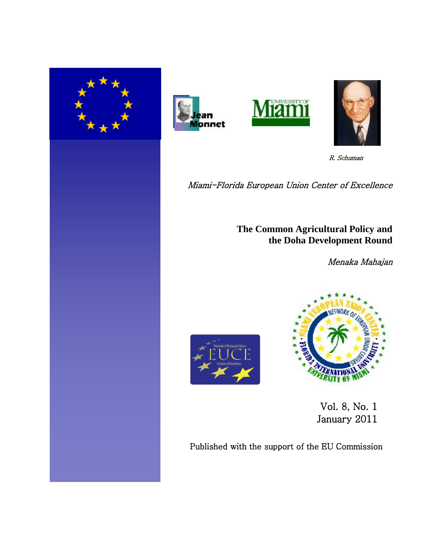







R. Schuman

Miami-Florida European Union Center of Excellence

**The Common Agricultural Policy and the Doha Development Round**

Menaka Mahajan





 Vol. 8, No. 1 January 2011

Published with the support of the EU Commission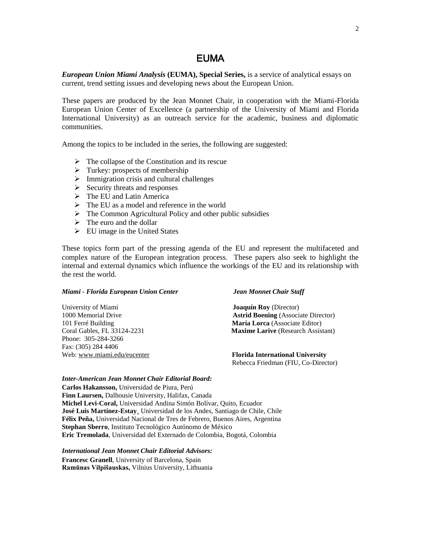## EUMA

*European Union Miami Analysis* **(EUMA), Special Series,** is a service of analytical essays on current, trend setting issues and developing news about the European Union.

These papers are produced by the Jean Monnet Chair, in cooperation with the Miami-Florida European Union Center of Excellence (a partnership of the University of Miami and Florida International University) as an outreach service for the academic, business and diplomatic communities.

Among the topics to be included in the series, the following are suggested:

- $\triangleright$  The collapse of the Constitution and its rescue
- $\triangleright$  Turkey: prospects of membership
- $\triangleright$  Immigration crisis and cultural challenges
- $\triangleright$  Security threats and responses
- $\triangleright$  The EU and Latin America
- $\triangleright$  The EU as a model and reference in the world
- $\triangleright$  The Common Agricultural Policy and other public subsidies
- $\triangleright$  The euro and the dollar
- $\triangleright$  EU image in the United States

These topics form part of the pressing agenda of the EU and represent the multifaceted and complex nature of the European integration process. These papers also seek to highlight the internal and external dynamics which influence the workings of the EU and its relationship with the rest the world.

#### *Miami - Florida European Union Center Jean Monnet Chair Staff*

| University of Miami         | <b>Joaquín Roy</b> (Director)              |
|-----------------------------|--------------------------------------------|
| 1000 Memorial Drive         | <b>Astrid Boening</b> (Associate Director) |
| 101 Ferré Building          | María Lorca (Associate Editor)             |
| Coral Gables, FL 33124-2231 | <b>Maxime Larive</b> (Research Assistant)  |
| Phone: 305-284-3266         |                                            |
| Fax: (305) 284 4406         |                                            |
| Web: www.miami.edu/eucenter | <b>Florida International University</b>    |
|                             | Rebecca Friedman (FIU, Co-Director)        |

#### *Inter-American Jean Monnet Chair Editorial Board:*

**Carlos Hakansson,** Universidad de Piura, Perú **Finn Laursen,** Dalhousie University, Halifax, Canada **Michel Levi-Coral,** Universidad Andina Simón Bolívar, Quito, Ecuador **José Luis Martínez-Estay¸** Universidad de los Andes, Santiago de Chile, Chile **Félix Peña,** Universidad Nacional de Tres de Febrero, Buenos Aires, Argentina **Stephan Sberro**, Instituto Tecnológico Autónomo de México **Eric Tremolada**, Universidad del Externado de Colombia, Bogotá, Colombia

*International Jean Monnet Chair Editorial Advisors:*

**Francesc Granell**, University of Barcelona, Spain **Ramūnas Vilpišauskas,** Vilnius University, Lithuania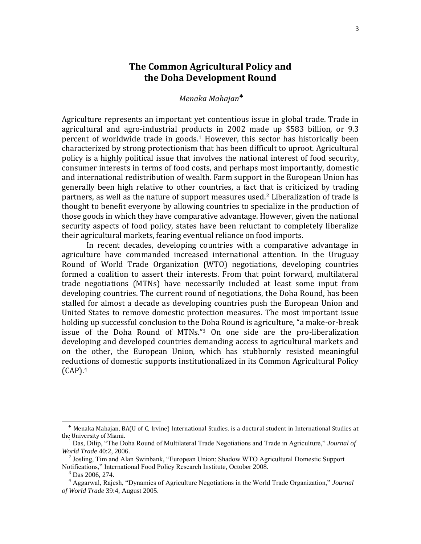# **The Common Agricultural Policy and the Doha Development Round**

## *Menaka Mahajan*

Agriculture represents an important yet contentious issue in global trade. Trade in agricultural and agro-industrial products in 2002 made up \$583 billion, or 9.3 percent of worldwide trade in goods.<sup>1</sup> However, this sector has historically been characterized by strong protectionism that has been difficult to uproot. Agricultural policy is a highly political issue that involves the national interest of food security, consumer interests in terms of food costs, and perhaps most importantly, domestic and international redistribution of wealth. Farm support in the European Union has generally been high relative to other countries, a fact that is criticized by trading partners, as well as the nature of support measures used.<sup>2</sup> Liberalization of trade is thought to benefit everyone by allowing countries to specialize in the production of those goods in which they have comparative advantage. However, given the national security aspects of food policy, states have been reluctant to completely liberalize their agricultural markets, fearing eventual reliance on food imports.

In recent decades, developing countries with a comparative advantage in agriculture have commanded increased international attention. In the Uruguay Round of World Trade Organization (WTO) negotiations, developing countries formed a coalition to assert their interests. From that point forward, multilateral trade negotiations (MTNs) have necessarily included at least some input from developing countries. The current round of negotiations, the Doha Round, has been stalled for almost a decade as developing countries push the European Union and United States to remove domestic protection measures. The most important issue holding up successful conclusion to the Doha Round is agriculture, "a make-or-break issue of the Doha Round of MTNs."<sup>3</sup> On one side are the pro-liberalization developing and developed countries demanding access to agricultural markets and on the other, the European Union, which has stubbornly resisted meaningful reductions of domestic supports institutionalized in its Common Agricultural Policy  $(CAP).4$ 

Menaka Mahajan, BA(U of C, Irvine) International Studies, is a doctoral student in International Studies at the University of Miami.

<sup>1</sup> Das, Dilip, "The Doha Round of Multilateral Trade Negotiations and Trade in Agriculture," *Journal of World Trade* 40:2, 2006.

<sup>&</sup>lt;sup>2</sup> Josling, Tim and Alan Swinbank, "European Union: Shadow WTO Agricultural Domestic Support Notifications," International Food Policy Research Institute, October 2008.

 $3$  Das 2006, 274.

<sup>4</sup> Aggarwal, Rajesh, "Dynamics of Agriculture Negotiations in the World Trade Organization," *Journal of World Trade* 39:4, August 2005.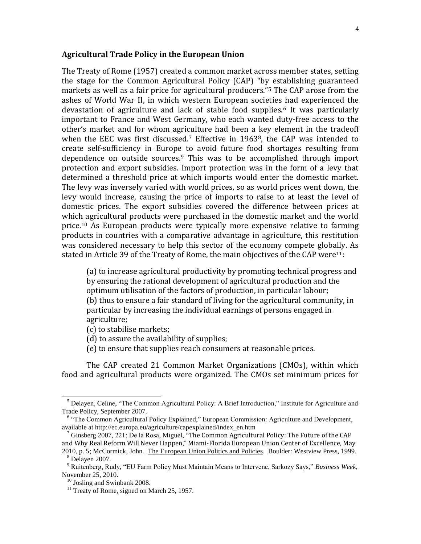#### **Agricultural Trade Policy in the European Union**

The Treaty of Rome (1957) created a common market across member states, setting the stage for the Common Agricultural Policy (CAP) "by establishing guaranteed markets as well as a fair price for agricultural producers."<sup>5</sup> The CAP arose from the ashes of World War II, in which western European societies had experienced the devastation of agriculture and lack of stable food supplies.<sup>6</sup> It was particularly important to France and West Germany, who each wanted duty-free access to the other's market and for whom agriculture had been a key element in the tradeoff when the EEC was first discussed.<sup>7</sup> Effective in 1963<sup>8</sup>, the CAP was intended to create self-sufficiency in Europe to avoid future food shortages resulting from dependence on outside sources.<sup>9</sup> This was to be accomplished through import protection and export subsidies. Import protection was in the form of a levy that determined a threshold price at which imports would enter the domestic market. The levy was inversely varied with world prices, so as world prices went down, the levy would increase, causing the price of imports to raise to at least the level of domestic prices. The export subsidies covered the difference between prices at which agricultural products were purchased in the domestic market and the world price.<sup>10</sup> As European products were typically more expensive relative to farming products in countries with a comparative advantage in agriculture, this restitution was considered necessary to help this sector of the economy compete globally. As stated in Article 39 of the Treaty of Rome, the main objectives of the CAP were<sup>11</sup>:

(a) to increase agricultural productivity by promoting technical progress and by ensuring the rational development of agricultural production and the optimum utilisation of the factors of production, in particular labour; (b) thus to ensure a fair standard of living for the agricultural community, in particular by increasing the individual earnings of persons engaged in agriculture;

- (c) to stabilise markets;
- (d) to assure the availability of supplies;
- (e) to ensure that supplies reach consumers at reasonable prices.

The CAP created 21 Common Market Organizations (CMOs), within which food and agricultural products were organized. The CMOs set minimum prices for

l

<sup>&</sup>lt;sup>5</sup> Delayen, Celine, "The Common Agricultural Policy: A Brief Introduction," Institute for Agriculture and Trade Policy, September 2007.

<sup>&</sup>lt;sup>6</sup> "The Common Agricultural Policy Explained," European Commission: Agriculture and Development, available at http://ec.europa.eu/agriculture/capexplained/index\_en.htm

<sup>7</sup> Ginsberg 2007, 221; De la Rosa, Miguel, "The Common Agricultural Policy: The Future of the CAP and Why Real Reform Will Never Happen," Miami-Florida European Union Center of Excellence, May

<sup>2010,</sup> p. 5; McCormick, John. The European Union Politics and Policies. Boulder: Westview Press, 1999.  $8$  Delayen 2007.

<sup>9</sup> Ruitenberg, Rudy, "EU Farm Policy Must Maintain Means to Intervene, Sarkozy Says," *Business Week*, November 25, 2010.

<sup>10</sup> Josling and Swinbank 2008.

 $11$  Treaty of Rome, signed on March 25, 1957.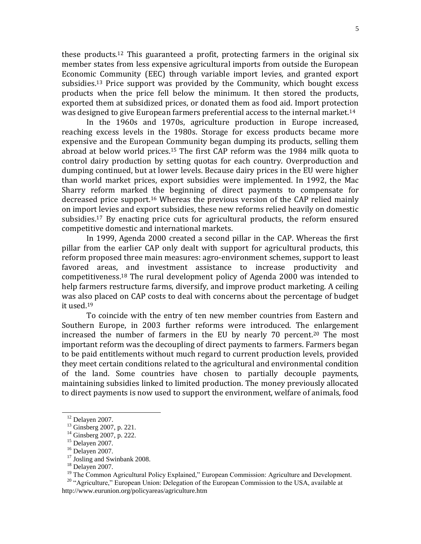these products.<sup>12</sup> This guaranteed a profit, protecting farmers in the original six member states from less expensive agricultural imports from outside the European Economic Community (EEC) through variable import levies, and granted export subsidies.<sup>13</sup> Price support was provided by the Community, which bought excess products when the price fell below the minimum. It then stored the products, exported them at subsidized prices, or donated them as food aid. Import protection was designed to give European farmers preferential access to the internal market.<sup>14</sup>

In the 1960s and 1970s, agriculture production in Europe increased, reaching excess levels in the 1980s. Storage for excess products became more expensive and the European Community began dumping its products, selling them abroad at below world prices.<sup>15</sup> The first CAP reform was the 1984 milk quota to control dairy production by setting quotas for each country. Overproduction and dumping continued, but at lower levels. Because dairy prices in the EU were higher than world market prices, export subsidies were implemented. In 1992, the Mac Sharry reform marked the beginning of direct payments to compensate for decreased price support.<sup>16</sup> Whereas the previous version of the CAP relied mainly on import levies and export subsidies, these new reforms relied heavily on domestic subsidies.<sup>17</sup> By enacting price cuts for agricultural products, the reform ensured competitive domestic and international markets.

In 1999, Agenda 2000 created a second pillar in the CAP. Whereas the first pillar from the earlier CAP only dealt with support for agricultural products, this reform proposed three main measures: agro-environment schemes, support to least favored areas, and investment assistance to increase productivity and competitiveness.<sup>18</sup> The rural development policy of Agenda 2000 was intended to help farmers restructure farms, diversify, and improve product marketing. A ceiling was also placed on CAP costs to deal with concerns about the percentage of budget it used.<sup>19</sup>

To coincide with the entry of ten new member countries from Eastern and Southern Europe, in 2003 further reforms were introduced. The enlargement increased the number of farmers in the EU by nearly 70 percent.<sup>20</sup> The most important reform was the decoupling of direct payments to farmers. Farmers began to be paid entitlements without much regard to current production levels, provided they meet certain conditions related to the agricultural and environmental condition of the land. Some countries have chosen to partially decouple payments, maintaining subsidies linked to limited production. The money previously allocated to direct payments is now used to support the environment, welfare of animals, food

 $\overline{a}$ 

<sup>17</sup> Josling and Swinbank 2008.

<sup>20</sup> "Agriculture," European Union: Delegation of the European Commission to the USA, available at http://www.eurunion.org/policyareas/agriculture.htm

 $12$  Delayen 2007.

<sup>&</sup>lt;sup>13</sup> Ginsberg 2007, p. 221.

<sup>&</sup>lt;sup>14</sup> Ginsberg 2007, p. 222.

 $15$  Delayen 2007.

 $16$  Delayen 2007.

 $18$  Delayen 2007.

<sup>&</sup>lt;sup>19</sup> The Common Agricultural Policy Explained," European Commission: Agriculture and Development.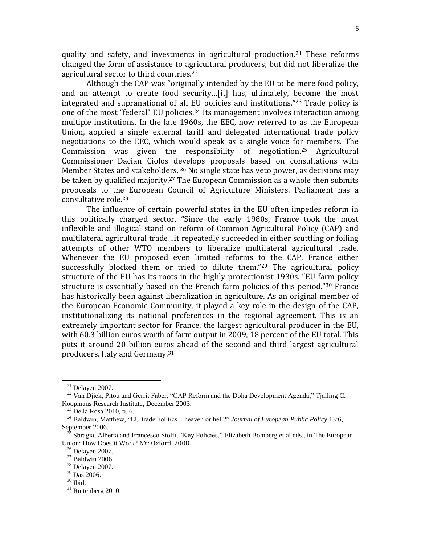quality and safety, and investments in agricultural production.<sup>21</sup> These reforms changed the form of assistance to agricultural producers, but did not liberalize the agricultural sector to third countries.<sup>22</sup>

Although the CAP was "originally intended by the EU to be mere food policy, and an attempt to create food security…[it] has, ultimately, become the most integrated and supranational of all EU policies and institutions."<sup>23</sup> Trade policy is one of the most "federal" EU policies.<sup>24</sup> Its management involves interaction among multiple institutions. In the late 1960s, the EEC, now referred to as the European Union, applied a single external tariff and delegated international trade policy negotiations to the EEC, which would speak as a single voice for members. The Commission was given the responsibility of negotiation.<sup>25</sup> Agricultural Commissioner Dacian Ciolos develops proposals based on consultations with Member States and stakeholders. <sup>26</sup> No single state has veto power, as decisions may be taken by qualified majority.<sup>27</sup> The European Commission as a whole then submits proposals to the European Council of Agriculture Ministers. Parliament has a consultative role.<sup>28</sup>

The influence of certain powerful states in the EU often impedes reform in this politically charged sector. "Since the early 1980s, France took the most inflexible and illogical stand on reform of Common Agricultural Policy (CAP) and multilateral agricultural trade…it repeatedly succeeded in either scuttling or foiling attempts of other WTO members to liberalize multilateral agricultural trade. Whenever the EU proposed even limited reforms to the CAP, France either successfully blocked them or tried to dilute them."<sup>29</sup> The agricultural policy structure of the EU has its roots in the highly protectionist 1930s. "EU farm policy structure is essentially based on the French farm policies of this period."<sup>30</sup> France has historically been against liberalization in agriculture. As an original member of the European Economic Community, it played a key role in the design of the CAP, institutionalizing its national preferences in the regional agreement. This is an extremely important sector for France, the largest agricultural producer in the EU, with 60.3 billion euros worth of farm output in 2009, 18 percent of the EU total. This puts it around 20 billion euros ahead of the second and third largest agricultural producers, Italy and Germany.<sup>31</sup>

l

 $21$  Delayen 2007.

 $^{22}$  Van Djick, Pitou and Gerrit Faber, "CAP Reform and the Doha Development Agenda," Tjalling C. Koopmans Research Institute, December 2003.

 $^{23}$  De la Rosa 2010, p. 6.

<sup>&</sup>lt;sup>24</sup> Baldwin, Matthew, "EU trade politics – heaven or hell?" *Journal of European Public Policy* 13:6, September 2006.

<sup>25</sup> Sbragia, Alberta and Francesco Stolfi, "Key Policies," Elizabeth Bomberg et al eds., in The European Union: How Does it Work? NY: Oxford, 2008.

 $\overline{5}$  Delayen 2007.

 $27$  Baldwin 2006.

<sup>28</sup> Delayen 2007.

 $29$  Das 2006.

<sup>30</sup> Ibid.

 $31$  Ruitenberg 2010.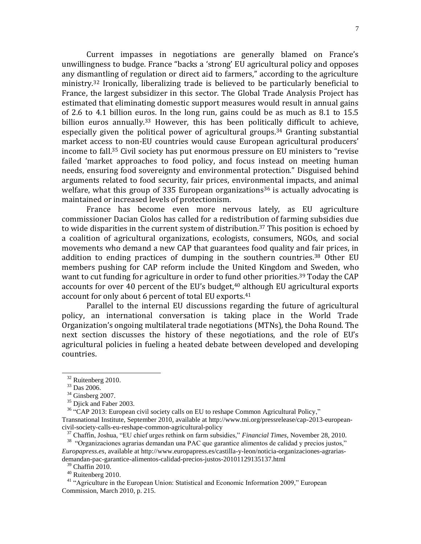Current impasses in negotiations are generally blamed on France's unwillingness to budge. France "backs a 'strong' EU agricultural policy and opposes any dismantling of regulation or direct aid to farmers," according to the agriculture ministry.<sup>32</sup> Ironically, liberalizing trade is believed to be particularly beneficial to France, the largest subsidizer in this sector. The Global Trade Analysis Project has estimated that eliminating domestic support measures would result in annual gains of 2.6 to 4.1 billion euros. In the long run, gains could be as much as 8.1 to 15.5 billion euros annually.<sup>33</sup> However, this has been politically difficult to achieve, especially given the political power of agricultural groups.<sup>34</sup> Granting substantial market access to non-EU countries would cause European agricultural producers' income to fall.<sup>35</sup> Civil society has put enormous pressure on EU ministers to "revise failed 'market approaches to food policy, and focus instead on meeting human needs, ensuring food sovereignty and environmental protection." Disguised behind arguments related to food security, fair prices, environmental impacts, and animal welfare, what this group of 335 European organizations<sup>36</sup> is actually advocating is maintained or increased levels of protectionism.

France has become even more nervous lately, as EU agriculture commissioner Dacian Ciolos has called for a redistribution of farming subsidies due to wide disparities in the current system of distribution.<sup>37</sup> This position is echoed by a coalition of agricultural organizations, ecologists, consumers, NGOs, and social movements who demand a new CAP that guarantees food quality and fair prices, in addition to ending practices of dumping in the southern countries.<sup>38</sup> Other EU members pushing for CAP reform include the United Kingdom and Sweden, who want to cut funding for agriculture in order to fund other priorities.<sup>39</sup> Today the CAP accounts for over 40 percent of the EU's budget, $40$  although EU agricultural exports account for only about 6 percent of total EU exports.<sup>41</sup>

Parallel to the internal EU discussions regarding the future of agricultural policy, an international conversation is taking place in the World Trade Organization's ongoing multilateral trade negotiations (MTNs), the Doha Round. The next section discusses the history of these negotiations, and the role of EU's agricultural policies in fueling a heated debate between developed and developing countries.

l

<sup>&</sup>lt;sup>32</sup> Ruitenberg 2010.

<sup>33</sup> Das 2006.

 $34$  Ginsberg 2007.

<sup>&</sup>lt;sup>35</sup> Djick and Faber 2003.

<sup>&</sup>lt;sup>36</sup> "CAP 2013: European civil society calls on EU to reshape Common Agricultural Policy," Transnational Institute, September 2010, available at http://www.tni.org/pressrelease/cap-2013-europeancivil-society-calls-eu-reshape-common-agricultural-policy

<sup>37</sup> Chaffin, Joshua, "EU chief urges rethink on farm subsidies," *Financial Times*, November 28, 2010.

<sup>&</sup>lt;sup>38</sup> "Organizaciones agrarias demandan una PAC que garantice alimentos de calidad y precios justos," *Europapress.es*, available at http://www.europapress.es/castilla-y-leon/noticia-organizaciones-agrariasdemandan-pac-garantice-alimentos-calidad-precios-justos-20101129135137.html

 $39$  Chaffin 2010.

<sup>40</sup> Ruitenberg 2010.

<sup>&</sup>lt;sup>41</sup> "Agriculture in the European Union: Statistical and Economic Information 2009," European Commission, March 2010, p. 215.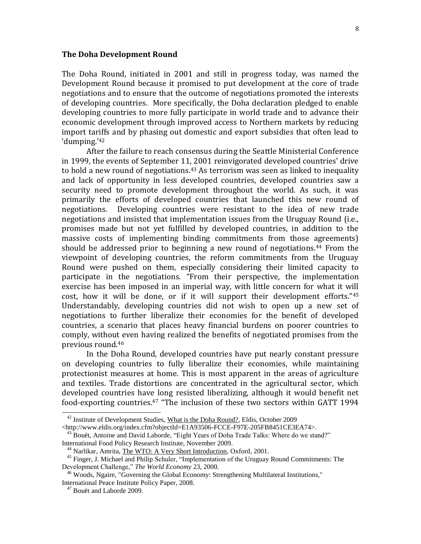### **The Doha Development Round**

The Doha Round, initiated in 2001 and still in progress today, was named the Development Round because it promised to put development at the core of trade negotiations and to ensure that the outcome of negotiations promoted the interests of developing countries. More specifically, the Doha declaration pledged to enable developing countries to more fully participate in world trade and to advance their economic development through improved access to Northern markets by reducing import tariffs and by phasing out domestic and export subsidies that often lead to 'dumping.'<sup>42</sup>

After the failure to reach consensus during the Seattle Ministerial Conference in 1999, the events of September 11, 2001 reinvigorated developed countries' drive to hold a new round of negotiations.<sup>43</sup> As terrorism was seen as linked to inequality and lack of opportunity in less developed countries, developed countries saw a security need to promote development throughout the world. As such, it was primarily the efforts of developed countries that launched this new round of negotiations. Developing countries were resistant to the idea of new trade negotiations and insisted that implementation issues from the Uruguay Round (i.e., promises made but not yet fulfilled by developed countries, in addition to the massive costs of implementing binding commitments from those agreements) should be addressed prior to beginning a new round of negotiations.<sup>44</sup> From the viewpoint of developing countries, the reform commitments from the Uruguay Round were pushed on them, especially considering their limited capacity to participate in the negotiations. "From their perspective, the implementation exercise has been imposed in an imperial way, with little concern for what it will cost, how it will be done, or if it will support their development efforts."<sup>45</sup> Understandably, developing countries did not wish to open up a new set of negotiations to further liberalize their economies for the benefit of developed countries, a scenario that places heavy financial burdens on poorer countries to comply, without even having realized the benefits of negotiated promises from the previous round.<sup>46</sup>

In the Doha Round, developed countries have put nearly constant pressure on developing countries to fully liberalize their economies, while maintaining protectionist measures at home. This is most apparent in the areas of agriculture and textiles. Trade distortions are concentrated in the agricultural sector, which developed countries have long resisted liberalizing, although it would benefit net food-exporting countries.<sup>47</sup> "The inclusion of these two sectors within GATT 1994

 $42$  Institute of Development Studies, What is the Doha Round?, Eldis, October 2009

<sup>&</sup>lt;http://www.eldis.org/index.cfm?objectId=E1A93506-FCCE-F97E-205FB8451CE3EA74>.

 $43$  Bouët, Antoine and David Laborde, "Eight Years of Doha Trade Talks: Where do we stand?" International Food Policy Research Institute, November 2009.

<sup>44</sup> Narlikar, Amrita, The WTO: A Very Short Introduction, Oxford, 2001.

<sup>&</sup>lt;sup>45</sup> Finger, J. Michael and Philip Schuler, "Implementation of the Uruguay Round Commitments: The Development Challenge," *The World Economy* 23, 2000.

<sup>&</sup>lt;sup>46</sup> Woods, Ngaire, "Governing the Global Economy: Strengthening Multilateral Institutions," International Peace Institute Policy Paper, 2008.

<sup>&</sup>lt;sup>47</sup> Bouët and Laborde 2009.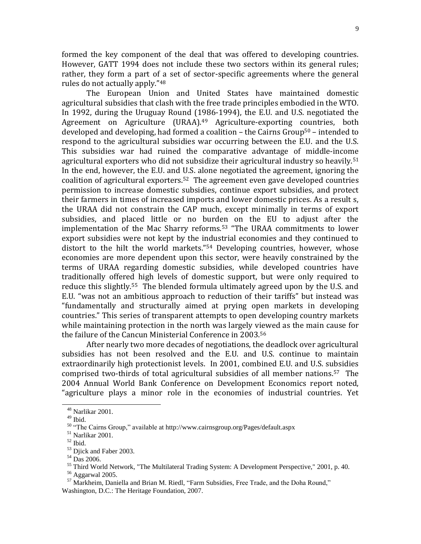formed the key component of the deal that was offered to developing countries. However, GATT 1994 does not include these two sectors within its general rules; rather, they form a part of a set of sector-specific agreements where the general rules do not actually apply."<sup>48</sup>

The European Union and United States have maintained domestic agricultural subsidies that clash with the free trade principles embodied in the WTO. In 1992, during the Uruguay Round (1986-1994), the E.U. and U.S. negotiated the Agreement on Agriculture (URAA).<sup>49</sup> Agriculture-exporting countries, both developed and developing, had formed a coalition  $-$  the Cairns Group<sup>50</sup> – intended to respond to the agricultural subsidies war occurring between the E.U. and the U.S. This subsidies war had ruined the comparative advantage of middle-income agricultural exporters who did not subsidize their agricultural industry so heavily.<sup>51</sup> In the end, however, the E.U. and U.S. alone negotiated the agreement, ignoring the coalition of agricultural exporters.52 The agreement even gave developed countries permission to increase domestic subsidies, continue export subsidies, and protect their farmers in times of increased imports and lower domestic prices. As a result s, the URAA did not constrain the CAP much, except minimally in terms of export subsidies, and placed little or no burden on the EU to adjust after the implementation of the Mac Sharry reforms.<sup>53</sup> "The URAA commitments to lower export subsidies were not kept by the industrial economies and they continued to distort to the hilt the world markets."<sup>54</sup> Developing countries, however, whose economies are more dependent upon this sector, were heavily constrained by the terms of URAA regarding domestic subsidies, while developed countries have traditionally offered high levels of domestic support, but were only required to reduce this slightly.55 The blended formula ultimately agreed upon by the U.S. and E.U. "was not an ambitious approach to reduction of their tariffs" but instead was "fundamentally and structurally aimed at prying open markets in developing countries." This series of transparent attempts to open developing country markets while maintaining protection in the north was largely viewed as the main cause for the failure of the Cancun Ministerial Conference in 2003.<sup>56</sup>

After nearly two more decades of negotiations, the deadlock over agricultural subsidies has not been resolved and the E.U. and U.S. continue to maintain extraordinarily high protectionist levels. In 2001, combined E.U. and U.S. subsidies comprised two-thirds of total agricultural subsidies of all member nations.57 The 2004 Annual World Bank Conference on Development Economics report noted, "agriculture plays a minor role in the economies of industrial countries. Yet

<sup>48</sup> Narlikar 2001.

<sup>49</sup> Ibid.

<sup>50</sup> "The Cairns Group," available at http://www.cairnsgroup.org/Pages/default.aspx

 $^{\rm 51}$  Narlikar 2001.

 $52$  Ibid.

<sup>53</sup> Djick and Faber 2003.

<sup>54</sup> Das 2006.

<sup>&</sup>lt;sup>55</sup> Third World Network, "The Multilateral Trading System: A Development Perspective," 2001, p. 40. <sup>56</sup> Aggarwal 2005.

 $57$  Markheim, Daniella and Brian M. Riedl, "Farm Subsidies, Free Trade, and the Doha Round," Washington, D.C.: The Heritage Foundation, 2007.